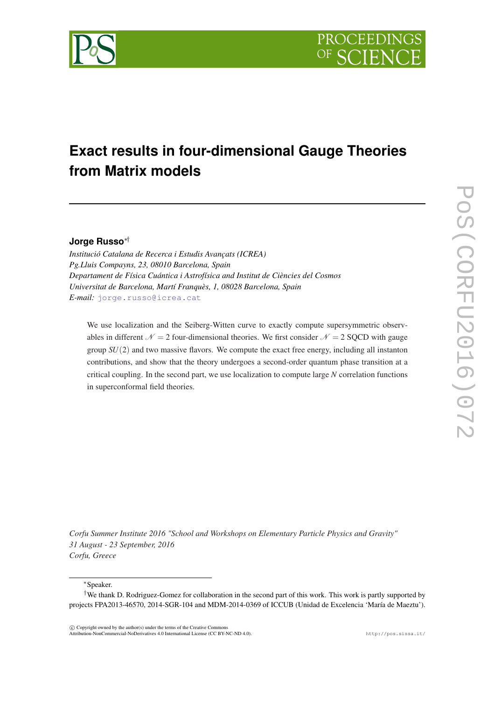

# **Exact results in four-dimensional Gauge Theories from Matrix models**

# **Jorge Russo**∗†

*Institució Catalana de Recerca i Estudis Avançats (ICREA) Pg.Lluis Compayns, 23, 08010 Barcelona, Spain Departament de Física Cuántica i Astrofísica and Institut de Ciències del Cosmos Universitat de Barcelona, Martí Franquès, 1, 08028 Barcelona, Spain E-mail:* [jorge.russo@icrea.cat](mailto:jorge.russo@icrea.cat)

We use localization and the Seiberg-Witten curve to exactly compute supersymmetric observables in different  $\mathcal{N} = 2$  four-dimensional theories. We first consider  $\mathcal{N} = 2$  SQCD with gauge group *SU*(2) and two massive flavors. We compute the exact free energy, including all instanton contributions, and show that the theory undergoes a second-order quantum phase transition at a critical coupling. In the second part, we use localization to compute large *N* correlation functions in superconformal field theories.

*Corfu Summer Institute 2016 "School and Workshops on Elementary Particle Physics and Gravity" 31 August - 23 September, 2016 Corfu, Greece*

<sup>∗</sup>Speaker.

 $\overline{c}$  Copyright owned by the author(s) under the terms of the Creative Common Attribution-NonCommercial-NoDerivatives 4.0 International License (CC BY-NC-ND 4.0). http://pos.sissa.it/

<sup>†</sup>We thank D. Rodriguez-Gomez for collaboration in the second part of this work. This work is partly supported by projects FPA2013-46570, 2014-SGR-104 and MDM-2014-0369 of ICCUB (Unidad de Excelencia 'María de Maeztu').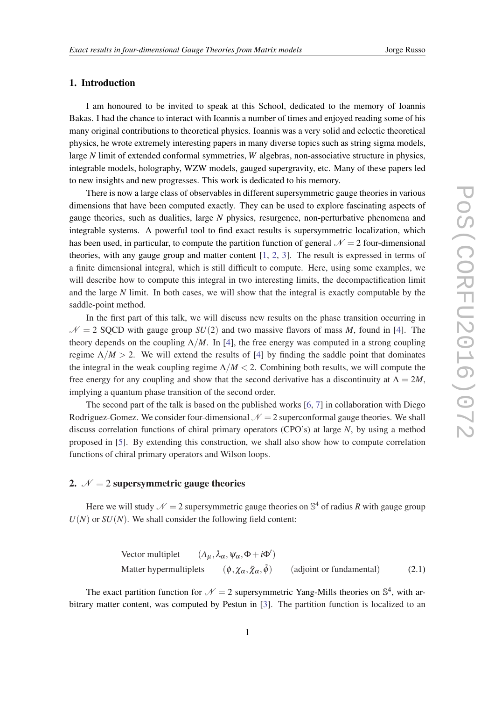# 1. Introduction

I am honoured to be invited to speak at this School, dedicated to the memory of Ioannis Bakas. I had the chance to interact with Ioannis a number of times and enjoyed reading some of his many original contributions to theoretical physics. Ioannis was a very solid and eclectic theoretical physics, he wrote extremely interesting papers in many diverse topics such as string sigma models, large *N* limit of extended conformal symmetries, *W* algebras, non-associative structure in physics, integrable models, holography, WZW models, gauged supergravity, etc. Many of these papers led to new insights and new progresses. This work is dedicated to his memory.

There is now a large class of observables in different supersymmetric gauge theories in various dimensions that have been computed exactly. They can be used to explore fascinating aspects of gauge theories, such as dualities, large *N* physics, resurgence, non-perturbative phenomena and integrable systems. A powerful tool to find exact results is supersymmetric localization, which has been used, in particular, to compute the partition function of general  $\mathcal{N} = 2$  four-dimensional theories, with any gauge group and matter content [[1](#page-15-0), [2,](#page-15-0) [3\]](#page-15-0). The result is expressed in terms of a finite dimensional integral, which is still difficult to compute. Here, using some examples, we will describe how to compute this integral in two interesting limits, the decompactification limit and the large *N* limit. In both cases, we will show that the integral is exactly computable by the saddle-point method.

In the first part of this talk, we will discuss new results on the phase transition occurring in  $N = 2$  SQCD with gauge group *SU*(2) and two massive flavors of mass *M*, found in [[4](#page-15-0)]. The theory depends on the coupling  $\Lambda/M$ . In [\[4](#page-15-0)], the free energy was computed in a strong coupling regime  $\Lambda/M > 2$ . We will extend the results of [\[4\]](#page-15-0) by finding the saddle point that dominates the integral in the weak coupling regime  $\Lambda/M < 2$ . Combining both results, we will compute the free energy for any coupling and show that the second derivative has a discontinuity at  $\Lambda = 2M$ , implying a quantum phase transition of the second order.

The second part of the talk is based on the published works [[6](#page-15-0), [7](#page-15-0)] in collaboration with Diego Rodriguez-Gomez. We consider four-dimensional  $\mathcal{N} = 2$  superconformal gauge theories. We shall discuss correlation functions of chiral primary operators (CPO's) at large *N*, by using a method proposed in [\[5\]](#page-15-0). By extending this construction, we shall also show how to compute correlation functions of chiral primary operators and Wilson loops.

## 2.  $N = 2$  supersymmetric gauge theories

Here we will study  $\mathcal{N} = 2$  supersymmetric gauge theories on  $\mathbb{S}^4$  of radius R with gauge group  $U(N)$  or  $SU(N)$ . We shall consider the following field content:

Vector multiplet 
$$
(A_{\mu}, \lambda_{\alpha}, \psi_{\alpha}, \Phi + i\Phi')
$$
  
 Matter hypermultiplets  $(\phi, \chi_{\alpha}, \tilde{\chi}_{\alpha}, \tilde{\phi})$  (adjoint or fundamental) (2.1)

The exact partition function for  $\mathcal{N} = 2$  supersymmetric Yang-Mills theories on  $\mathbb{S}^4$ , with arbitrary matter content, was computed by Pestun in [\[3\]](#page-15-0). The partition function is localized to an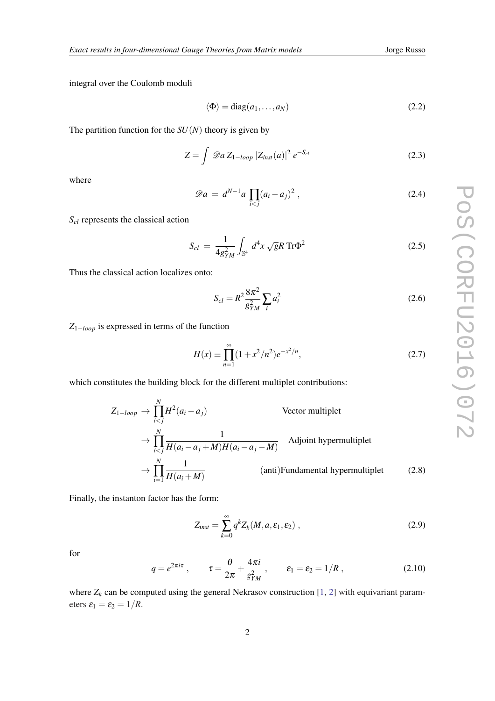<span id="page-2-0"></span>integral over the Coulomb moduli

$$
\langle \Phi \rangle = \text{diag}(a_1, \dots, a_N) \tag{2.2}
$$

The partition function for the  $SU(N)$  theory is given by

$$
Z = \int \mathcal{D}a Z_{1-loop} |Z_{inst}(a)|^2 e^{-S_{cl}}
$$
 (2.3)

where

$$
\mathscr{D}a = d^{N-1}a \prod_{i < j} (a_i - a_j)^2 \,,\tag{2.4}
$$

*Scl* represents the classical action

$$
S_{cl} = \frac{1}{4g_{YM}^2} \int_{\mathbb{S}^4} d^4x \sqrt{g} R \operatorname{Tr} \Phi^2
$$
 (2.5)

Thus the classical action localizes onto:

$$
S_{cl} = R^2 \frac{8\pi^2}{g_{YM}^2} \sum_i a_i^2
$$
 (2.6)

*Z*1−*loop* is expressed in terms of the function

$$
H(x) \equiv \prod_{n=1}^{\infty} (1 + x^2/n^2) e^{-x^2/n},
$$
\n(2.7)

which constitutes the building block for the different multiplet contributions:

$$
Z_{1-loop} \to \prod_{iVector multiplet  

$$
\to \prod_{iAdjoint hypermultiplet  

$$
\to \prod_{i=1}^{N} \frac{1}{H(a_i + M)}
$$
 (anti)Fundamental hypermultiplet (2.8)
$$
$$

Finally, the instanton factor has the form:

$$
Z_{inst} = \sum_{k=0}^{\infty} q^k Z_k(M, a, \varepsilon_1, \varepsilon_2) , \qquad (2.9)
$$

for

$$
q = e^{2\pi i \tau} , \qquad \tau = \frac{\theta}{2\pi} + \frac{4\pi i}{g_{YM}^2} , \qquad \varepsilon_1 = \varepsilon_2 = 1/R , \qquad (2.10)
$$

where  $Z_k$  can be computed using the general Nekrasov construction [[1](#page-15-0), [2](#page-15-0)] with equivariant parameters  $\varepsilon_1 = \varepsilon_2 = 1/R$ .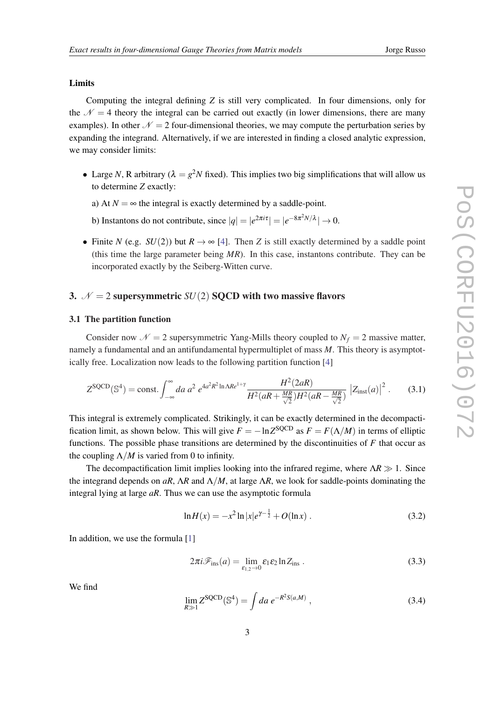#### Limits

Computing the integral defining *Z* is still very complicated. In four dimensions, only for the  $\mathcal{N} = 4$  theory the integral can be carried out exactly (in lower dimensions, there are many examples). In other  $\mathcal{N} = 2$  four-dimensional theories, we may compute the perturbation series by expanding the integrand. Alternatively, if we are interested in finding a closed analytic expression, we may consider limits:

- Large *N*, R arbitrary ( $\lambda = g^2 N$  fixed). This implies two big simplifications that will allow us to determine *Z* exactly:
	- a) At  $N = \infty$  the integral is exactly determined by a saddle-point.
	- b) Instantons do not contribute, since  $|q| = |e^{2\pi i \tau}| = |e^{-8\pi^2 N/\lambda}| \to 0$ .
- Finite *N* (e.g. *SU*(2)) but  $R \rightarrow \infty$  [\[4\]](#page-15-0). Then *Z* is still exactly determined by a saddle point (this time the large parameter being *MR*). In this case, instantons contribute. They can be incorporated exactly by the Seiberg-Witten curve.

# 3.  $N = 2$  supersymmetric *SU*(2) **SQCD** with two massive flavors

#### 3.1 The partition function

Consider now  $\mathcal{N} = 2$  supersymmetric Yang-Mills theory coupled to  $N_f = 2$  massive matter, namely a fundamental and an antifundamental hypermultiplet of mass *M*. This theory is asymptotically free. Localization now leads to the following partition function [[4](#page-15-0)]

$$
Z^{\text{SQCD}}(\mathbb{S}^4) = \text{const.} \int_{-\infty}^{\infty} da \ a^2 \ e^{4a^2 R^2 \ln \Lambda R e^{1+\gamma}} \frac{H^2(2aR)}{H^2(aR + \frac{MR}{\sqrt{2}})H^2(aR - \frac{MR}{\sqrt{2}})} \left| Z_{\text{inst}}(a) \right|^2. \tag{3.1}
$$

This integral is extremely complicated. Strikingly, it can be exactly determined in the decompactification limit, as shown below. This will give  $F = -\ln Z^{\text{SQCD}}$  as  $F = F(\Lambda/M)$  in terms of elliptic functions. The possible phase transitions are determined by the discontinuities of *F* that occur as the coupling  $\Lambda/M$  is varied from 0 to infinity.

The decompactification limit implies looking into the infrared regime, where  $\Lambda R \gg 1$ . Since the integrand depends on *aR*,  $\Lambda R$  and  $\Lambda/M$ , at large  $\Lambda R$ , we look for saddle-points dominating the integral lying at large *aR*. Thus we can use the asymptotic formula

$$
\ln H(x) = -x^2 \ln |x| e^{\gamma - \frac{1}{2}} + O(\ln x) \tag{3.2}
$$

In addition, we use the formula [\[1](#page-15-0)]

$$
2\pi i \mathcal{F}_{\text{ins}}(a) = \lim_{\varepsilon_{1,2} \to 0} \varepsilon_1 \varepsilon_2 \ln Z_{\text{ins}} \,. \tag{3.3}
$$

We find

$$
\lim_{R \gg 1} Z^{\text{SQCD}}(\mathbb{S}^4) = \int da \, e^{-R^2 S(a,M)} \,, \tag{3.4}
$$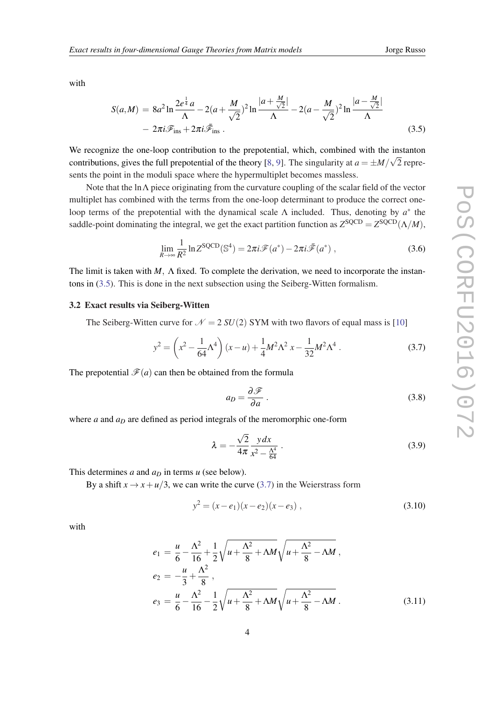with

$$
S(a,M) = 8a^2 \ln \frac{2e^{\frac{1}{4}}a}{\Lambda} - 2(a + \frac{M}{\sqrt{2}})^2 \ln \frac{|a + \frac{M}{\sqrt{2}}|}{\Lambda} - 2(a - \frac{M}{\sqrt{2}})^2 \ln \frac{|a - \frac{M}{\sqrt{2}}|}{\Lambda}
$$
  
- 2\pi i \mathcal{F}\_{ins} + 2\pi i \mathcal{\bar{F}}\_{ins} . (3.5)

We recognize the one-loop contribution to the prepotential, which, combined with the instanton contributions, gives the full prepotential of the theory [\[8,](#page-15-0) [9\]](#page-16-0). The singularity at  $a = \pm M/\sqrt{2}$  represents the point in the moduli space where the hypermultiplet becomes massless.

Note that the lnΛ piece originating from the curvature coupling of the scalar field of the vector multiplet has combined with the terms from the one-loop determinant to produce the correct oneloop terms of the prepotential with the dynamical scale  $\Lambda$  included. Thus, denoting by  $a^*$  the saddle-point dominating the integral, we get the exact partition function as  $Z^{\text{SQCD}} = Z^{\text{SQCD}}(\Lambda/M)$ ,

$$
\lim_{R \to \infty} \frac{1}{R^2} \ln Z^{\text{SQCD}}(\mathbb{S}^4) = 2\pi i \mathcal{F}(a^*) - 2\pi i \bar{\mathcal{F}}(a^*) ,\qquad(3.6)
$$

The limit is taken with *M*, Λ fixed. To complete the derivation, we need to incorporate the instantons in (3.5). This is done in the next subsection using the Seiberg-Witten formalism.

#### 3.2 Exact results via Seiberg-Witten

The Seiberg-Witten curve for  $\mathcal{N} = 2 SU(2)$  SYM with two flavors of equal mass is [[10\]](#page-16-0)

$$
y^{2} = \left(x^{2} - \frac{1}{64}\Lambda^{4}\right)(x - u) + \frac{1}{4}M^{2}\Lambda^{2} x - \frac{1}{32}M^{2}\Lambda^{4}.
$$
 (3.7)

The prepotential  $\mathcal{F}(a)$  can then be obtained from the formula

$$
a_D = \frac{\partial \mathcal{F}}{\partial a} \,. \tag{3.8}
$$

where *a* and  $a<sub>D</sub>$  are defined as period integrals of the meromorphic one-form

$$
\lambda = -\frac{\sqrt{2}}{4\pi} \frac{y \, dx}{x^2 - \frac{\Lambda^4}{64}} \,. \tag{3.9}
$$

This determines *a* and *a<sup>D</sup>* in terms *u* (see below).

By a shift  $x \to x + u/3$ , we can write the curve (3.7) in the Weierstrass form

$$
y^2 = (x - e_1)(x - e_2)(x - e_3), \qquad (3.10)
$$

with

$$
e_1 = \frac{u}{6} - \frac{\Lambda^2}{16} + \frac{1}{2} \sqrt{u + \frac{\Lambda^2}{8} + \Lambda M} \sqrt{u + \frac{\Lambda^2}{8} - \Lambda M} ,
$$
  
\n
$$
e_2 = -\frac{u}{3} + \frac{\Lambda^2}{8} ,
$$
  
\n
$$
e_3 = \frac{u}{6} - \frac{\Lambda^2}{16} - \frac{1}{2} \sqrt{u + \frac{\Lambda^2}{8} + \Lambda M} \sqrt{u + \frac{\Lambda^2}{8} - \Lambda M} .
$$
\n(3.11)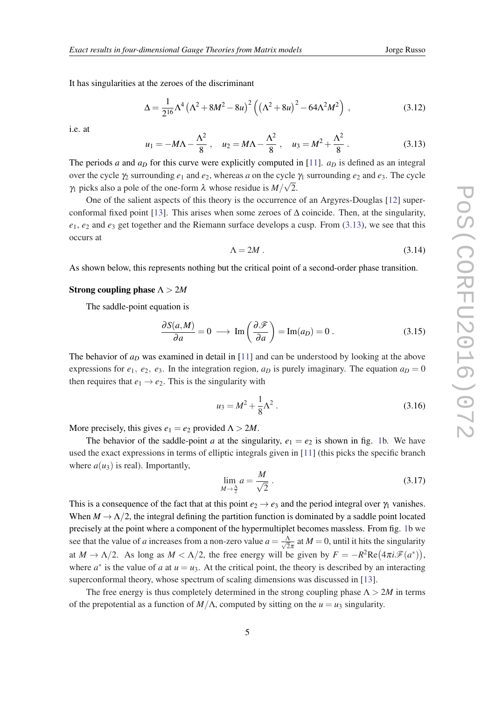It has singularities at the zeroes of the discriminant

$$
\Delta = \frac{1}{2^{16}} \Lambda^4 \left( \Lambda^2 + 8M^2 - 8u \right)^2 \left( \left( \Lambda^2 + 8u \right)^2 - 64\Lambda^2 M^2 \right) , \tag{3.12}
$$

i.e. at

$$
u_1 = -M\Lambda - \frac{\Lambda^2}{8}
$$
,  $u_2 = M\Lambda - \frac{\Lambda^2}{8}$ ,  $u_3 = M^2 + \frac{\Lambda^2}{8}$ . (3.13)

The periods *a* and  $a<sub>D</sub>$  for this curve were explicitly computed in [[11\]](#page-16-0).  $a<sub>D</sub>$  is defined as an integral over the cycle  $\gamma_2$  surrounding  $e_1$  and  $e_2$ , whereas *a* on the cycle  $\gamma_1$  surrounding  $e_2$  and  $e_3$ . The cycle  $\gamma_1$  picks also a pole of the one-form  $\lambda$  whose residue is  $M/\sqrt{2}$ .

One of the salient aspects of this theory is the occurrence of an Argyres-Douglas [\[12](#page-16-0)] super-conformal fixed point [\[13](#page-16-0)]. This arises when some zeroes of  $\Delta$  coincide. Then, at the singularity, *e*1, *e*<sup>2</sup> and *e*<sup>3</sup> get together and the Riemann surface develops a cusp. From (3.13), we see that this occurs at

$$
\Lambda = 2M \tag{3.14}
$$

As shown below, this represents nothing but the critical point of a second-order phase transition.

#### Strong coupling phase Λ > 2*M*

The saddle-point equation is

$$
\frac{\partial S(a,M)}{\partial a} = 0 \longrightarrow \text{Im}\left(\frac{\partial \mathcal{F}}{\partial a}\right) = \text{Im}(a_D) = 0. \tag{3.15}
$$

The behavior of *a<sup>D</sup>* was examined in detail in [[11\]](#page-16-0) and can be understood by looking at the above expressions for  $e_1, e_2, e_3$ . In the integration region,  $a_D$  is purely imaginary. The equation  $a_D = 0$ then requires that  $e_1 \rightarrow e_2$ . This is the singularity with

$$
u_3 = M^2 + \frac{1}{8} \Lambda^2 \,. \tag{3.16}
$$

More precisely, this gives  $e_1 = e_2$  provided  $\Lambda > 2M$ .

The behavior of the saddle-point *a* at the singularity,  $e_1 = e_2$  $e_1 = e_2$  $e_1 = e_2$  is shown in fig. 1b. We have used the exact expressions in terms of elliptic integrals given in [\[11](#page-16-0)] (this picks the specific branch where  $a(u_3)$  is real). Importantly,

$$
\lim_{M \to \frac{\Lambda}{2}} a = \frac{M}{\sqrt{2}} \,. \tag{3.17}
$$

This is a consequence of the fact that at this point  $e_2 \rightarrow e_3$  and the period integral over  $\gamma_1$  vanishes. When  $M \to \Lambda/2$ , the integral defining the partition function is dominated by a saddle point located precisely at the point where a component of the hypermultiplet becomes massless. From fig. [1](#page-6-0)b we see that the value of *a* increases from a non-zero value  $a = \frac{\Lambda}{\sqrt{2}}$  $\frac{\Delta}{2\pi}$  at  $M = 0$ , until it hits the singularity at  $M \to \Lambda/2$ . As long as  $M < \Lambda/2$ , the free energy will be given by  $F = -R^2 \text{Re} (4\pi i \mathcal{F}(a^*))$ , where  $a^*$  is the value of *a* at  $u = u_3$ . At the critical point, the theory is described by an interacting superconformal theory, whose spectrum of scaling dimensions was discussed in [\[13](#page-16-0)].

The free energy is thus completely determined in the strong coupling phase  $\Lambda > 2M$  in terms of the prepotential as a function of  $M/\Lambda$ , computed by sitting on the  $u = u_3$  singularity.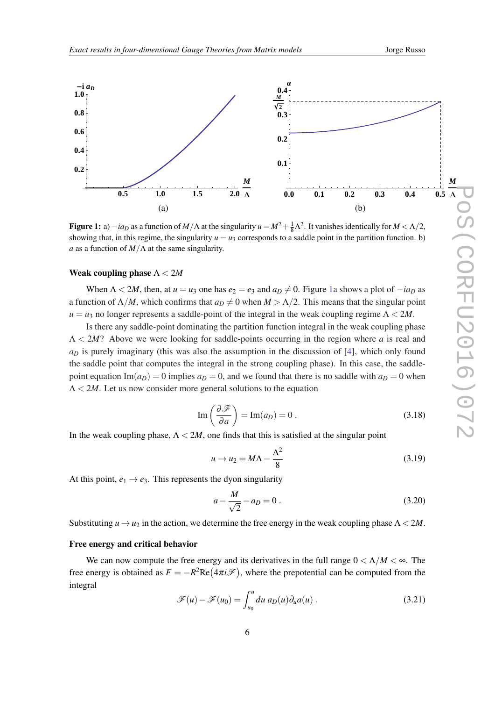<span id="page-6-0"></span>

Figure 1: a)  $-i a_D$  as a function of  $M/\Lambda$  at the singularity  $u = M^2 + \frac{1}{8}\Lambda^2$ . It vanishes identically for  $M < \Lambda/2$ , showing that, in this regime, the singularity  $u = u_3$  corresponds to a saddle point in the partition function. b) *a* as a function of *M*/Λ at the same singularity.

#### Weak coupling phase Λ < 2*M*

When  $\Lambda < 2M$ , then, at  $u = u_3$  one has  $e_2 = e_3$  and  $a_D \neq 0$ . Figure 1a shows a plot of  $-i a_D$  as a function of  $\Lambda/M$ , which confirms that  $a_D \neq 0$  when  $M > \Lambda/2$ . This means that the singular point  $u = u_3$  no longer represents a saddle-point of the integral in the weak coupling regime  $\Lambda < 2M$ .

Is there any saddle-point dominating the partition function integral in the weak coupling phase Λ < 2*M*? Above we were looking for saddle-points occurring in the region where *a* is real and  $a<sub>D</sub>$  is purely imaginary (this was also the assumption in the discussion of [[4](#page-15-0)], which only found the saddle point that computes the integral in the strong coupling phase). In this case, the saddlepoint equation Im( $a_D$ ) = 0 implies  $a_D$  = 0, and we found that there is no saddle with  $a_D$  = 0 when  $\Lambda < 2M$ . Let us now consider more general solutions to the equation

$$
\operatorname{Im}\left(\frac{\partial \mathcal{F}}{\partial a}\right) = \operatorname{Im}(a_D) = 0.
$$
 (3.18)

In the weak coupling phase,  $\Lambda < 2M$ , one finds that this is satisfied at the singular point

$$
u \to u_2 = M\Lambda - \frac{\Lambda^2}{8} \tag{3.19}
$$

At this point,  $e_1 \rightarrow e_3$ . This represents the dyon singularity

$$
a - \frac{M}{\sqrt{2}} - a_D = 0.
$$
 (3.20)

Substituting  $u \rightarrow u_2$  in the action, we determine the free energy in the weak coupling phase  $\Lambda < 2M$ .

#### Free energy and critical behavior

We can now compute the free energy and its derivatives in the full range  $0 < \Lambda/M < \infty$ . The free energy is obtained as  $F = -R^2 \text{Re}(4\pi i \mathcal{F})$ , where the prepotential can be computed from the integral

$$
\mathscr{F}(u) - \mathscr{F}(u_0) = \int_{u_0}^{u} du \, a_D(u) \partial_u a(u) \,. \tag{3.21}
$$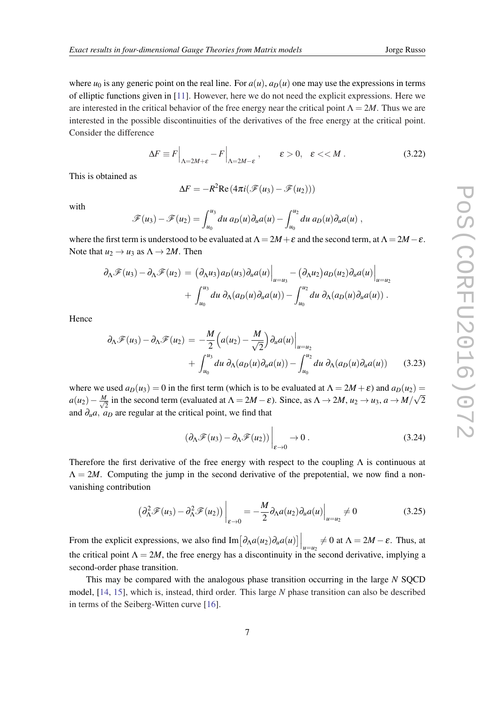where  $u_0$  is any generic point on the real line. For  $a(u)$ ,  $a_D(u)$  one may use the expressions in terms of elliptic functions given in [\[11](#page-16-0)]. However, here we do not need the explicit expressions. Here we are interested in the critical behavior of the free energy near the critical point  $\Lambda = 2M$ . Thus we are interested in the possible discontinuities of the derivatives of the free energy at the critical point. Consider the difference

$$
\Delta F \equiv F \Big|_{\Lambda = 2M + \varepsilon} - F \Big|_{\Lambda = 2M - \varepsilon} , \qquad \varepsilon > 0, \quad \varepsilon < M . \tag{3.22}
$$

This is obtained as

$$
\Delta F = -R^2 \text{Re} \left( 4\pi i (\mathcal{F}(u_3) - \mathcal{F}(u_2)) \right)
$$

with

$$
\mathscr{F}(u_3)-\mathscr{F}(u_2)=\int_{u_0}^{u_3} du \ a_D(u)\partial_u a(u)-\int_{u_0}^{u_2} du \ a_D(u)\partial_u a(u),
$$

where the first term is understood to be evaluated at  $\Lambda = 2M + \varepsilon$  and the second term, at  $\Lambda = 2M - \varepsilon$ . Note that  $u_2 \rightarrow u_3$  as  $\Lambda \rightarrow 2M$ . Then

$$
\partial_{\Lambda} \mathscr{F}(u_3) - \partial_{\Lambda} \mathscr{F}(u_2) = (\partial_{\Lambda} u_3) a_D(u_3) \partial_u a(u) \Big|_{u=u_3} - (\partial_{\Lambda} u_2) a_D(u_2) \partial_u a(u) \Big|_{u=u_2}
$$
  
+ 
$$
\int_{u_0}^{u_3} du \ \partial_{\Lambda} (a_D(u) \partial_u a(u)) - \int_{u_0}^{u_2} du \ \partial_{\Lambda} (a_D(u) \partial_u a(u)) .
$$

Hence

$$
\partial_{\Lambda} \mathscr{F}(u_3) - \partial_{\Lambda} \mathscr{F}(u_2) = -\frac{M}{2} \Big( a(u_2) - \frac{M}{\sqrt{2}} \Big) \partial_u a(u) \Big|_{u=u_2}
$$
  
+ 
$$
\int_{u_0}^{u_3} du \ \partial_{\Lambda} (a_D(u) \partial_u a(u)) - \int_{u_0}^{u_2} du \ \partial_{\Lambda} (a_D(u) \partial_u a(u)) \qquad (3.23)
$$

where we used  $a_D(u_3) = 0$  in the first term (which is to be evaluated at  $\Lambda = 2M + \varepsilon$ ) and  $a_D(u_2) =$  $a(u_2)-\frac{M}{\sqrt{2}}$  $\frac{1}{2}$  in the second term (evaluated at  $\Lambda = 2M - \varepsilon$ ). Since, as  $\Lambda \to 2M$ ,  $u_2 \to u_3$ ,  $a \to M/M$ √ 2 and  $\partial_u a$ ,  $a_D$  are regular at the critical point, we find that

$$
\left. (\partial_{\Lambda} \mathscr{F}(u_3) - \partial_{\Lambda} \mathscr{F}(u_2)) \right|_{\varepsilon \to 0} \to 0. \tag{3.24}
$$

Therefore the first derivative of the free energy with respect to the coupling  $\Lambda$  is continuous at  $\Lambda = 2M$ . Computing the jump in the second derivative of the prepotential, we now find a nonvanishing contribution

$$
\left(\partial_{\Lambda}^2 \mathcal{F}(u_3) - \partial_{\Lambda}^2 \mathcal{F}(u_2)\right)\Big|_{\varepsilon \to 0} = -\frac{M}{2}\partial_{\Lambda}a(u_2)\partial_u a(u)\Big|_{u=u_2} \neq 0\tag{3.25}
$$

From the explicit expressions, we also find  $\text{Im}[\partial_{\Lambda}a(u_2)\partial_u a(u)]\Big|_{u=u_2} \neq 0$  at  $\Lambda = 2M - \varepsilon$ . Thus, at the critical point  $\Lambda = 2M$ , the free energy has a discontinuity in the second derivative, implying a second-order phase transition.

This may be compared with the analogous phase transition occurring in the large *N* SQCD model, [[14,](#page-16-0) [15](#page-16-0)], which is, instead, third order. This large *N* phase transition can also be described in terms of the Seiberg-Witten curve [[16](#page-16-0)].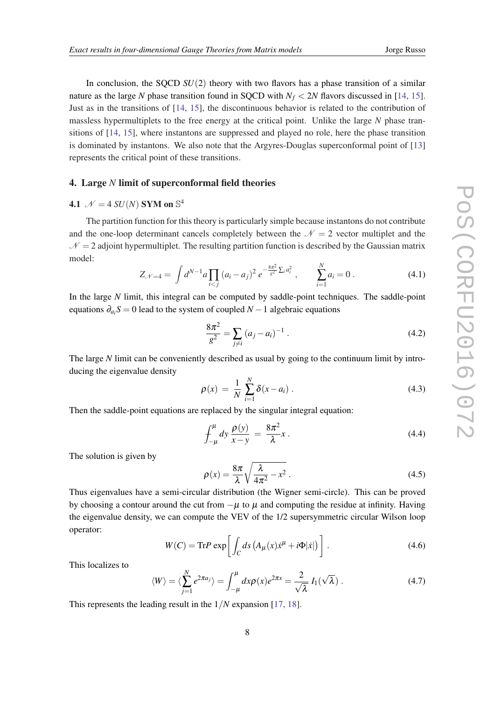In conclusion, the SQCD *SU*(2) theory with two flavors has a phase transition of a similar nature as the large *N* phase transition found in SQCD with  $N_f < 2N$  flavors discussed in [\[14,](#page-16-0) [15\]](#page-16-0). Just as in the transitions of [\[14](#page-16-0), [15\]](#page-16-0), the discontinuous behavior is related to the contribution of massless hypermultiplets to the free energy at the critical point. Unlike the large *N* phase transitions of [\[14](#page-16-0), [15](#page-16-0)], where instantons are suppressed and played no role, here the phase transition is dominated by instantons. We also note that the Argyres-Douglas superconformal point of [\[13](#page-16-0)] represents the critical point of these transitions.

## 4. Large *N* limit of superconformal field theories

# **4.1**  $\mathcal{N} = 4 SU(N)$  SYM on  $\mathbb{S}^4$

The partition function for this theory is particularly simple because instantons do not contribute and the one-loop determinant cancels completely between the  $\mathcal{N} = 2$  vector multiplet and the  $N = 2$  adjoint hypermultiplet. The resulting partition function is described by the Gaussian matrix model: *N*

$$
Z_{\mathcal{N}=4} = \int d^{N-1}a \prod_{i < j} (a_i - a_j)^2 \, e^{-\frac{8\pi^2}{g^2} \sum_i a_i^2} \,, \qquad \sum_{i=1}^N a_i = 0 \,. \tag{4.1}
$$

In the large *N* limit, this integral can be computed by saddle-point techniques. The saddle-point equations ∂*a<sup>i</sup> S* = 0 lead to the system of coupled *N* −1 algebraic equations

$$
\frac{8\pi^2}{g^2} = \sum_{j \neq i} (a_j - a_i)^{-1} \tag{4.2}
$$

The large *N* limit can be conveniently described as usual by going to the continuum limit by introducing the eigenvalue density

$$
\rho(x) = \frac{1}{N} \sum_{i=1}^{N} \delta(x - a_i) \,. \tag{4.3}
$$

Then the saddle-point equations are replaced by the singular integral equation:

$$
\int_{-\mu}^{\mu} dy \, \frac{\rho(y)}{x - y} = \frac{8\pi^2}{\lambda} x \,.
$$
 (4.4)

The solution is given by

$$
\rho(x) = \frac{8\pi}{\lambda} \sqrt{\frac{\lambda}{4\pi^2} - x^2} \,. \tag{4.5}
$$

Thus eigenvalues have a semi-circular distribution (the Wigner semi-circle). This can be proved by choosing a contour around the cut from  $-\mu$  to  $\mu$  and computing the residue at infinity. Having the eigenvalue density, we can compute the VEV of the 1/2 supersymmetric circular Wilson loop operator:

$$
W(C) = \text{Tr} P \exp \left[ \int_C ds \left( A_\mu(x) \dot{x}^\mu + i \Phi | \dot{x} | \right) \right]. \tag{4.6}
$$

This localizes to

$$
\langle W \rangle = \langle \sum_{j=1}^{N} e^{2\pi a_j} \rangle = \int_{-\mu}^{\mu} dx \rho(x) e^{2\pi x} = \frac{2}{\sqrt{\lambda}} I_1(\sqrt{\lambda}). \tag{4.7}
$$

This represents the leading result in the 1/*N* expansion [[17](#page-16-0), [18\]](#page-16-0).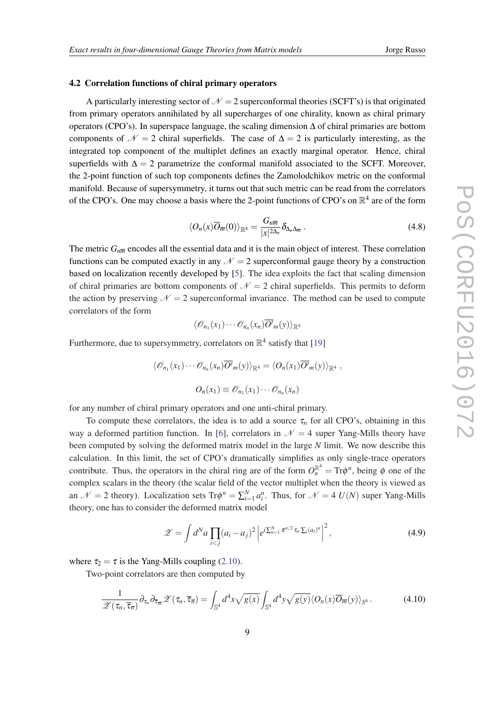#### 4.2 Correlation functions of chiral primary operators

A particularly interesting sector of  $\mathcal{N} = 2$  superconformal theories (SCFT's) is that originated from primary operators annihilated by all supercharges of one chirality, known as chiral primary operators (CPO's). In superspace language, the scaling dimension ∆ of chiral primaries are bottom components of  $\mathcal{N} = 2$  chiral superfields. The case of  $\Delta = 2$  is particularly interesting, as the integrated top component of the multiplet defines an exactly marginal operator. Hence, chiral superfields with  $\Delta = 2$  parametrize the conformal manifold associated to the SCFT. Moreover, the 2-point function of such top components defines the Zamolodchikov metric on the conformal manifold. Because of supersymmetry, it turns out that such metric can be read from the correlators of the CPO's. One may choose a basis where the 2-point functions of CPO's on  $\mathbb{R}^4$  are of the form

$$
\langle O_n(x)\overline{O}_{\overline{m}}(0)\rangle_{\mathbb{R}^4} = \frac{G_{n\overline{m}}}{|x|^{2\Delta_n}} \delta_{\Delta_n \Delta_{\overline{m}}}.
$$
\n(4.8)

The metric  $G_{n\overline{m}}$  encodes all the essential data and it is the main object of interest. These correlation functions can be computed exactly in any  $\mathcal{N} = 2$  superconformal gauge theory by a construction based on localization recently developed by [\[5\]](#page-15-0). The idea exploits the fact that scaling dimension of chiral primaries are bottom components of  $\mathcal{N} = 2$  chiral superfields. This permits to deform the action by preserving  $\mathcal{N} = 2$  superconformal invariance. The method can be used to compute correlators of the form

$$
\langle \mathscr{O}_{n_1}(x_1)\cdots \mathscr{O}_{n_n}(x_n)\overline{O'}_{m}(y)\rangle_{\mathbb{R}^4}
$$

Furthermore, due to supersymmetry, correlators on  $\mathbb{R}^4$  satisfy that [\[19\]](#page-16-0)

$$
\langle \mathcal{O}_{n_1}(x_1) \cdots \mathcal{O}_{n_n}(x_n) \overline{O'}_m(y) \rangle_{\mathbb{R}^4} = \langle O_n(x_1) \overline{O'}_m(y) \rangle_{\mathbb{R}^4},
$$
  

$$
O_n(x_1) \equiv \mathcal{O}_{n_1}(x_1) \cdots \mathcal{O}_{n_n}(x_n)
$$

for any number of chiral primary operators and one anti-chiral primary.

To compute these correlators, the idea is to add a source  $\tau_n$  for all CPO's, obtaining in this way a deformed partition function. In [[6](#page-15-0)], correlators in  $\mathcal{N} = 4$  super Yang-Mills theory have been computed by solving the deformed matrix model in the large *N* limit. We now describe this calculation. In this limit, the set of CPO's dramatically simplifies as only single-trace operators contribute. Thus, the operators in the chiral ring are of the form  $O_n^{\mathbb{R}^4} = \text{Tr}\phi^n$ , being  $\phi$  one of the complex scalars in the theory (the scalar field of the vector multiplet when the theory is viewed as an  $\mathcal{N} = 2$  theory). Localization sets  $Tr \phi^n = \sum_{i=1}^N a_i^n$ . Thus, for  $\mathcal{N} = 4$  *U(N)* super Yang-Mills theory, one has to consider the deformed matrix model

$$
\mathscr{Z} = \int d^N a \prod_{i < j} (a_i - a_j)^2 \left| e^{i \sum_{n=1}^N \pi^{n/2} \tau_n \sum_i (a_i)^n} \right|^2, \tag{4.9}
$$

where  $\tau_2 = \tau$  is the Yang-Mills coupling [\(2.10](#page-2-0)).

Two-point correlators are then computed by

$$
\frac{1}{\mathscr{Z}(\tau_n, \overline{\tau}_{\overline{n}})} \partial_{\tau_n} \partial_{\overline{\tau}_{\overline{m}}} \mathscr{Z}(\tau_n, \overline{\tau}_{\overline{n}}) = \int_{\mathbb{S}^4} d^4x \sqrt{g(x)} \int_{\mathbb{S}^4} d^4y \sqrt{g(y)} \langle O_n(x) \overline{O}_{\overline{m}}(y) \rangle_{\mathbb{S}^4}.
$$
 (4.10)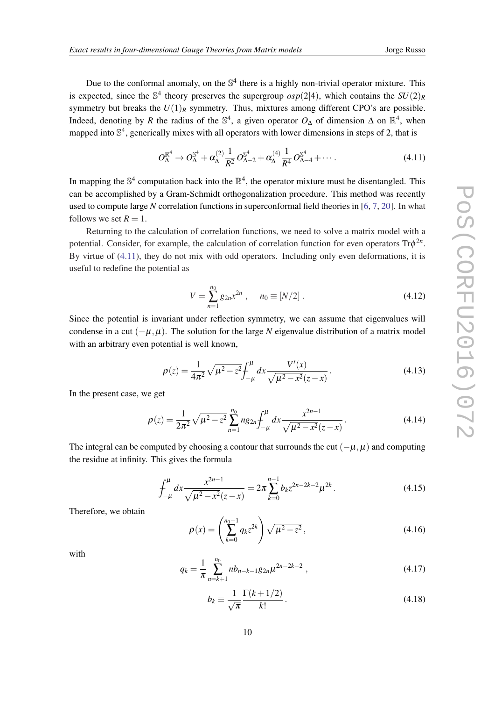Due to the conformal anomaly, on the  $\mathbb{S}^4$  there is a highly non-trivial operator mixture. This is expected, since the  $\mathbb{S}^4$  theory preserves the supergroup  $osp(2|4)$ , which contains the  $SU(2)_R$ symmetry but breaks the  $U(1)_R$  symmetry. Thus, mixtures among different CPO's are possible. Indeed, denoting by *R* the radius of the  $\mathbb{S}^4$ , a given operator  $O_{\Delta}$  of dimension  $\Delta$  on  $\mathbb{R}^4$ , when mapped into  $\mathbb{S}^4$ , generically mixes with all operators with lower dimensions in steps of 2, that is

$$
O_{\Delta}^{\mathbb{R}^4} \to O_{\Delta}^{\mathbb{S}^4} + \alpha_{\Delta}^{(2)} \frac{1}{R^2} O_{\Delta-2}^{\mathbb{S}^4} + \alpha_{\Delta}^{(4)} \frac{1}{R^4} O_{\Delta-4}^{\mathbb{S}^4} + \cdots
$$
 (4.11)

In mapping the  $\mathbb{S}^4$  computation back into the  $\mathbb{R}^4$ , the operator mixture must be disentangled. This can be accomplished by a Gram-Schmidt orthogonalization procedure. This method was recently used to compute large *N* correlation functions in superconformal field theories in [[6](#page-15-0), [7,](#page-15-0) [20\]](#page-16-0). In what follows we set  $R = 1$ .

Returning to the calculation of correlation functions, we need to solve a matrix model with a potential. Consider, for example, the calculation of correlation function for even operators Trφ 2*n* . By virtue of (4.11), they do not mix with odd operators. Including only even deformations, it is useful to redefine the potential as

$$
V = \sum_{n=1}^{n_0} g_{2n} x^{2n} , \quad n_0 \equiv [N/2] .
$$
 (4.12)

Since the potential is invariant under reflection symmetry, we can assume that eigenvalues will condense in a cut  $(-\mu, \mu)$ . The solution for the large *N* eigenvalue distribution of a matrix model with an arbitrary even potential is well known,

$$
\rho(z) = \frac{1}{4\pi^2} \sqrt{\mu^2 - z^2} \int_{-\mu}^{\mu} dx \frac{V'(x)}{\sqrt{\mu^2 - x^2} (z - x)}.
$$
\n(4.13)

In the present case, we get

$$
\rho(z) = \frac{1}{2\pi^2} \sqrt{\mu^2 - z^2} \sum_{n=1}^{n_0} n g_{2n} \int_{-\mu}^{\mu} dx \frac{x^{2n-1}}{\sqrt{\mu^2 - x^2} (z - x)}.
$$
\n(4.14)

The integral can be computed by choosing a contour that surrounds the cut  $(-\mu, \mu)$  and computing the residue at infinity. This gives the formula

$$
\int_{-\mu}^{\mu} dx \frac{x^{2n-1}}{\sqrt{\mu^2 - x^2}(z - x)} = 2\pi \sum_{k=0}^{n-1} b_k z^{2n-2k-2} \mu^{2k}.
$$
 (4.15)

Therefore, we obtain

$$
\rho(x) = \left(\sum_{k=0}^{n_0 - 1} q_k z^{2k}\right) \sqrt{\mu^2 - z^2},\tag{4.16}
$$

with

$$
q_k = \frac{1}{\pi} \sum_{n=k+1}^{n_0} nb_{n-k-1} g_{2n} \mu^{2n-2k-2} , \qquad (4.17)
$$

$$
b_k \equiv \frac{1}{\sqrt{\pi}} \frac{\Gamma(k+1/2)}{k!}.
$$
\n(4.18)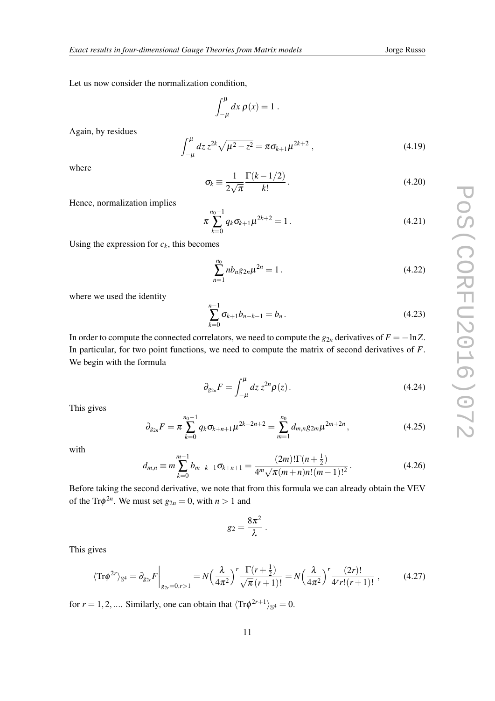<span id="page-11-0"></span>Let us now consider the normalization condition,

$$
\int_{-\mu}^{\mu} dx \, \rho(x) = 1 \; .
$$

Again, by residues

$$
\int_{-\mu}^{\mu} dz \, z^{2k} \sqrt{\mu^2 - z^2} = \pi \sigma_{k+1} \mu^{2k+2} \,, \tag{4.19}
$$

where

$$
\sigma_k \equiv \frac{1}{2\sqrt{\pi}} \frac{\Gamma(k - 1/2)}{k!} \,. \tag{4.20}
$$

Hence, normalization implies

$$
\pi \sum_{k=0}^{n_0-1} q_k \sigma_{k+1} \mu^{2k+2} = 1.
$$
\n(4.21)

Using the expression for  $c_k$ , this becomes

$$
\sum_{n=1}^{n_0} nb_n g_{2n} \mu^{2n} = 1.
$$
 (4.22)

where we used the identity

$$
\sum_{k=0}^{n-1} \sigma_{k+1} b_{n-k-1} = b_n.
$$
\n(4.23)

In order to compute the connected correlators, we need to compute the  $g_{2n}$  derivatives of  $F = -\ln Z$ . In particular, for two point functions, we need to compute the matrix of second derivatives of *F*. We begin with the formula

$$
\partial_{g_{2n}} F = \int_{-\mu}^{\mu} dz \, z^{2n} \rho(z). \tag{4.24}
$$

This gives

$$
\partial_{g_{2n}} F = \pi \sum_{k=0}^{n_0 - 1} q_k \sigma_{k+n+1} \mu^{2k+2n+2} = \sum_{m=1}^{n_0} d_{m,n} g_{2m} \mu^{2m+2n}, \qquad (4.25)
$$

with

$$
d_{m,n} \equiv m \sum_{k=0}^{m-1} b_{m-k-1} \sigma_{k+n+1} = \frac{(2m)! \Gamma(n+\frac{1}{2})}{4^m \sqrt{\pi} (m+n) n! (m-1)!^2}.
$$
 (4.26)

Before taking the second derivative, we note that from this formula we can already obtain the VEV of the Tr $\phi^{2n}$ . We must set  $g_{2n} = 0$ , with  $n > 1$  and

$$
g_2=\frac{8\pi^2}{\lambda}.
$$

This gives

$$
\langle \text{Tr}\phi^{2r} \rangle_{\mathbb{S}^4} = \partial_{g_{2r}} F \bigg|_{g_{2r} = 0, r > 1} = N \left( \frac{\lambda}{4\pi^2} \right)^r \frac{\Gamma(r + \frac{1}{2})}{\sqrt{\pi} \left( r + 1 \right)!} = N \left( \frac{\lambda}{4\pi^2} \right)^r \frac{(2r)!}{4^r r!(r + 1)!}, \tag{4.27}
$$

for  $r = 1, 2, \dots$  Similarly, one can obtain that  $\langle Tr \phi^{2r+1} \rangle_{\mathbb{S}^4} = 0$ .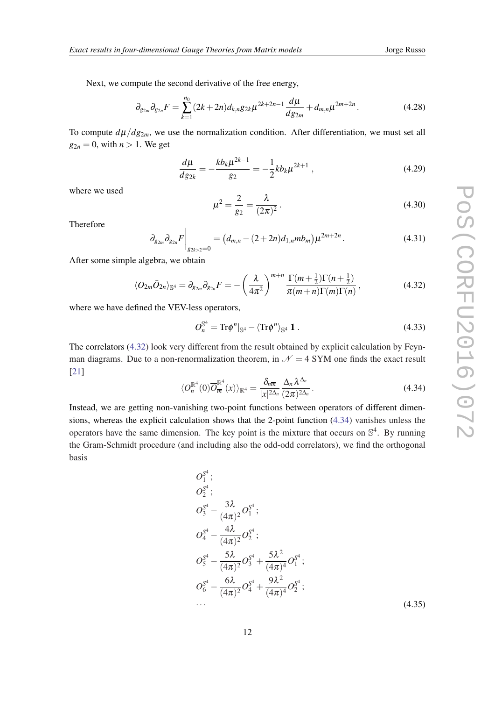<span id="page-12-0"></span>Next, we compute the second derivative of the free energy,

$$
\partial_{g_{2m}} \partial_{g_{2n}} F = \sum_{k=1}^{n_0} (2k+2n) d_{k,n} g_{2k} \mu^{2k+2n-1} \frac{d\mu}{dg_{2m}} + d_{m,n} \mu^{2m+2n}.
$$
 (4.28)

To compute  $d\mu/dg_{2m}$ , we use the normalization condition. After differentiation, we must set all  $g_{2n} = 0$ , with  $n > 1$ . We get

$$
\frac{d\mu}{dg_{2k}} = -\frac{kb_k\mu^{2k-1}}{g_2} = -\frac{1}{2}kb_k\mu^{2k+1} \,,\tag{4.29}
$$

where we used

$$
\mu^2 = \frac{2}{g_2} = \frac{\lambda}{(2\pi)^2}.
$$
\n(4.30)

Therefore

$$
\left. \partial_{g_{2m}} \partial_{g_{2n}} F \right|_{g_{2k>2}=0} = \left( d_{m,n} - (2+2n) d_{1,n} m b_m \right) \mu^{2m+2n} . \tag{4.31}
$$

After some simple algebra, we obtain

$$
\langle O_{2m}\overline{O}_{2n}\rangle_{\mathbb{S}^4} = \partial_{g_{2m}}\partial_{g_{2n}}F = -\left(\frac{\lambda}{4\pi^2}\right)^{m+n} \frac{\Gamma(m+\frac{1}{2})\Gamma(n+\frac{1}{2})}{\pi(m+n)\Gamma(m)\Gamma(n)},\tag{4.32}
$$

where we have defined the VEV-less operators,

$$
O_n^{\mathbb{S}^4} = \text{Tr}\phi^n|_{\mathbb{S}^4} - \langle \text{Tr}\phi^n \rangle_{\mathbb{S}^4} \mathbf{1} \,. \tag{4.33}
$$

The correlators (4.32) look very different from the result obtained by explicit calculation by Feynman diagrams. Due to a non-renormalization theorem, in  $\mathcal{N} = 4$  SYM one finds the exact result [[21\]](#page-16-0)

$$
\langle O_n^{\mathbb{R}^4}(0)\overline{O}_m^{\mathbb{R}^4}(x)\rangle_{\mathbb{R}^4} = \frac{\delta_{n\overline{m}}}{|x|^{2\Delta_n}}\frac{\Delta_n\lambda^{\Delta_n}}{(2\pi)^{2\Delta_n}}\,. \tag{4.34}
$$

Instead, we are getting non-vanishing two-point functions between operators of different dimensions, whereas the explicit calculation shows that the 2-point function (4.34) vanishes unless the operators have the same dimension. The key point is the mixture that occurs on  $\mathbb{S}^4$ . By running the Gram-Schmidt procedure (and including also the odd-odd correlators), we find the orthogonal basis

$$
O_1^{S^4};
$$
\n
$$
O_2^{S^4};
$$
\n
$$
O_3^{S^4} - \frac{3\lambda}{(4\pi)^2} O_1^{S^4};
$$
\n
$$
O_4^{S^4} - \frac{4\lambda}{(4\pi)^2} O_2^{S^4};
$$
\n
$$
O_5^{S^4} - \frac{5\lambda}{(4\pi)^2} O_3^{S^4} + \frac{5\lambda^2}{(4\pi)^4} O_1^{S^4};
$$
\n
$$
O_6^{S^4} - \frac{6\lambda}{(4\pi)^2} O_4^{S^4} + \frac{9\lambda^2}{(4\pi)^4} O_2^{S^4};
$$
\n
$$
\dots
$$
\n(4.35)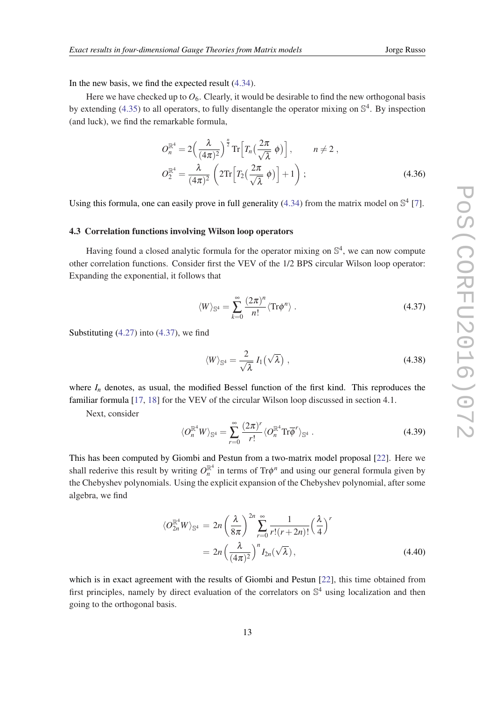<span id="page-13-0"></span>In the new basis, we find the expected result [\(4.34](#page-12-0)).

Here we have checked up to  $O_6$ . Clearly, it would be desirable to find the new orthogonal basis by extending ([4.35\)](#page-12-0) to all operators, to fully disentangle the operator mixing on  $\mathbb{S}^4$ . By inspection (and luck), we find the remarkable formula,

$$
O_n^{\mathbb{R}^4} = 2\left(\frac{\lambda}{(4\pi)^2}\right)^{\frac{n}{2}} \operatorname{Tr}\left[T_n\left(\frac{2\pi}{\sqrt{\lambda}}\phi\right)\right], \qquad n \neq 2,
$$
  

$$
O_2^{\mathbb{R}^4} = \frac{\lambda}{(4\pi)^2} \left(2\operatorname{Tr}\left[T_2\left(\frac{2\pi}{\sqrt{\lambda}}\phi\right)\right] + 1\right); \tag{4.36}
$$

Using this formula, one can easily prove in full generality [\(4.34\)](#page-12-0) from the matrix model on  $\mathbb{S}^4$  [[7](#page-15-0)].

#### 4.3 Correlation functions involving Wilson loop operators

Having found a closed analytic formula for the operator mixing on  $\mathbb{S}^4$ , we can now compute other correlation functions. Consider first the VEV of the 1/2 BPS circular Wilson loop operator: Expanding the exponential, it follows that

$$
\langle W \rangle_{\mathbb{S}^4} = \sum_{k=0}^{\infty} \frac{(2\pi)^n}{n!} \langle \text{Tr} \phi^n \rangle \ . \tag{4.37}
$$

Substituting [\(4.27\)](#page-11-0) into (4.37), we find

$$
\langle W \rangle_{\mathbb{S}^4} = \frac{2}{\sqrt{\lambda}} I_1(\sqrt{\lambda}), \qquad (4.38)
$$

where  $I_n$  denotes, as usual, the modified Bessel function of the first kind. This reproduces the familiar formula [\[17](#page-16-0), [18\]](#page-16-0) for the VEV of the circular Wilson loop discussed in section 4.1.

Next, consider

$$
\langle O_n^{\mathbb{R}^4} W \rangle_{\mathbb{S}^4} = \sum_{r=0}^{\infty} \frac{(2\pi)^r}{r!} \langle O_n^{\mathbb{R}^4} \text{Tr} \overline{\phi}^r \rangle_{\mathbb{S}^4} \,. \tag{4.39}
$$

This has been computed by Giombi and Pestun from a two-matrix model proposal [\[22](#page-16-0)]. Here we shall rederive this result by writing  $O_n^{\mathbb{R}^4}$  in terms of Tr $\phi^n$  and using our general formula given by the Chebyshev polynomials. Using the explicit expansion of the Chebyshev polynomial, after some algebra, we find

$$
\langle O_{2n}^{\mathbb{R}^4} W \rangle_{\mathbb{S}^4} = 2n \left( \frac{\lambda}{8\pi} \right)^{2n} \sum_{r=0}^{\infty} \frac{1}{r!(r+2n)!} \left( \frac{\lambda}{4} \right)^r
$$
  
= 
$$
2n \left( \frac{\lambda}{(4\pi)^2} \right)^n I_{2n}(\sqrt{\lambda}), \qquad (4.40)
$$

which is in exact agreement with the results of Giombi and Pestun [[22\]](#page-16-0), this time obtained from first principles, namely by direct evaluation of the correlators on  $\mathbb{S}^4$  using localization and then going to the orthogonal basis.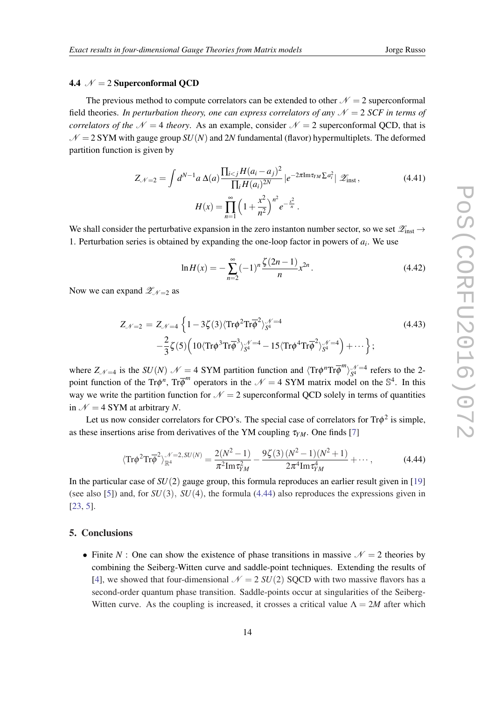# 4.4  $\mathcal{N} = 2$  Superconformal QCD

The previous method to compute correlators can be extended to other  $N = 2$  superconformal field theories. *In perturbation theory, one can express correlators of any*  $\mathcal{N} = 2$  *SCF in terms of correlators of the*  $N = 4$  *theory*. As an example, consider  $N = 2$  superconformal QCD, that is  $N = 2$  SYM with gauge group *SU(N)* and 2*N* fundamental (flavor) hypermultiplets. The deformed partition function is given by

$$
Z_{\mathcal{N}=2} = \int d^{N-1}a \,\Delta(a) \frac{\prod_{i < j} H(a_i - a_j)^2}{\prod_i H(a_i)^{2N}} \left| e^{-2\pi \text{Im}\tau_{YM} \sum a_i^2} \right| \mathcal{Z}_{\text{inst}}\,,\tag{4.41}
$$
\n
$$
H(x) = \prod_{n=1}^{\infty} \left( 1 + \frac{x^2}{n^2} \right)^{n^2} e^{-\frac{x^2}{n}}\,.
$$

We shall consider the perturbative expansion in the zero instanton number sector, so we set  $\mathscr{Z}_{inst} \to$ 1. Perturbation series is obtained by expanding the one-loop factor in powers of  $a_i$ . We use

$$
\ln H(x) = -\sum_{n=2}^{\infty} (-1)^n \frac{\zeta(2n-1)}{n} x^{2n}.
$$
 (4.42)

Now we can expand  $\mathscr{Z}_{N=2}$  as

$$
Z_{\mathcal{N}=2} = Z_{\mathcal{N}=4} \left\{ 1 - 3\zeta(3) \langle \text{Tr}\phi^2 \text{Tr}\overline{\phi}^2 \rangle_{S^4}^{\mathcal{N}=4} -\frac{2}{3} \zeta(5) \left( 10 \langle \text{Tr}\phi^3 \text{Tr}\overline{\phi}^3 \rangle_{S^4}^{\mathcal{N}=4} - 15 \langle \text{Tr}\phi^4 \text{Tr}\overline{\phi}^2 \rangle_{S^4}^{\mathcal{N}=4} \right) + \cdots \right\};
$$
\n(4.43)

where  $Z_{\mathcal{N}=4}$  is the *SU(N)*  $\mathcal{N}=4$  SYM partition function and  $\langle \text{Tr}\phi^n \text{Tr}\overline{\phi}^m \rangle_{S^4}^{\mathcal{N}=4}$  refers to the 2point function of the Tr $\phi^n$ , Tr $\overline{\phi}^m$  operators in the  $\mathcal{N} = 4$  SYM matrix model on the S<sup>4</sup>. In this way we write the partition function for  $\mathcal{N} = 2$  superconformal QCD solely in terms of quantities in  $\mathcal{N} = 4$  SYM at arbitrary *N*.

Let us now consider correlators for CPO's. The special case of correlators for  $Tr\phi^2$  is simple, as these insertions arise from derivatives of the YM coupling  $\tau_{YM}$ . One finds [\[7\]](#page-15-0)

$$
\langle \text{Tr}\phi^2 \text{Tr}\overline{\phi}^2 \rangle_{\mathbb{R}^4}^{\mathcal{N}=2,\, SU(N)} = \frac{2(N^2-1)}{\pi^2 \text{Im}\,\tau_{YM}^2} - \frac{9\zeta(3)\,(N^2-1)(N^2+1)}{2\pi^4 \text{Im}\,\tau_{YM}^4} + \cdots,\tag{4.44}
$$

In the particular case of *SU*(2) gauge group, this formula reproduces an earlier result given in [\[19](#page-16-0)] (see also [\[5\]](#page-15-0)) and, for  $SU(3)$ ,  $SU(4)$ , the formula (4.44) also reproduces the expressions given in [[23,](#page-16-0) [5\]](#page-15-0).

## 5. Conclusions

• Finite *N* : One can show the existence of phase transitions in massive  $\mathcal{N} = 2$  theories by combining the Seiberg-Witten curve and saddle-point techniques. Extending the results of [\[4\]](#page-15-0), we showed that four-dimensional  $\mathcal{N} = 2$  *SU*(2) SQCD with two massive flavors has a second-order quantum phase transition. Saddle-points occur at singularities of the Seiberg-Witten curve. As the coupling is increased, it crosses a critical value  $\Lambda = 2M$  after which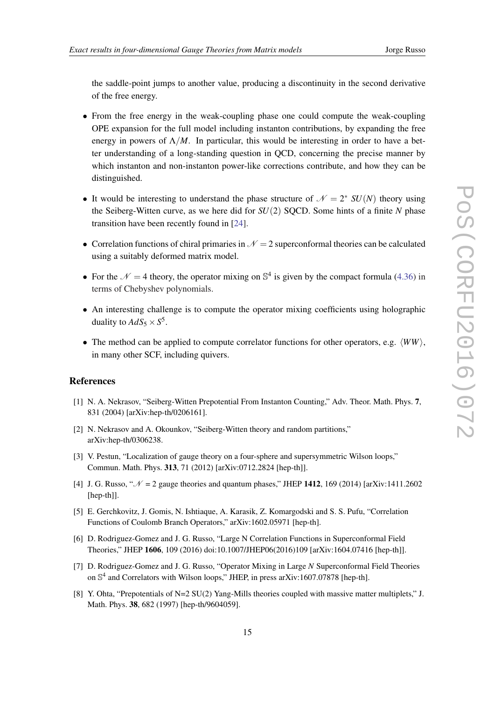<span id="page-15-0"></span>the saddle-point jumps to another value, producing a discontinuity in the second derivative of the free energy.

- From the free energy in the weak-coupling phase one could compute the weak-coupling OPE expansion for the full model including instanton contributions, by expanding the free energy in powers of  $\Lambda/M$ . In particular, this would be interesting in order to have a better understanding of a long-standing question in QCD, concerning the precise manner by which instanton and non-instanton power-like corrections contribute, and how they can be distinguished.
- It would be interesting to understand the phase structure of  $\mathcal{N} = 2^*$  *SU(N)* theory using the Seiberg-Witten curve, as we here did for *SU*(2) SQCD. Some hints of a finite *N* phase transition have been recently found in [[24](#page-16-0)].
- Correlation functions of chiral primaries in  $\mathcal{N} = 2$  superconformal theories can be calculated using a suitably deformed matrix model.
- For the  $\mathcal{N} = 4$  theory, the operator mixing on  $\mathbb{S}^4$  is given by the compact formula ([4.36\)](#page-13-0) in terms of Chebyshev polynomials.
- An interesting challenge is to compute the operator mixing coefficients using holographic duality to  $AdS_5 \times S^5$ .
- The method can be applied to compute correlator functions for other operators, e.g.  $\langle WW \rangle$ , in many other SCF, including quivers.

### References

- [1] N. A. Nekrasov, "Seiberg-Witten Prepotential From Instanton Counting," Adv. Theor. Math. Phys. 7, 831 (2004) [arXiv:hep-th/0206161].
- [2] N. Nekrasov and A. Okounkov, "Seiberg-Witten theory and random partitions," arXiv:hep-th/0306238.
- [3] V. Pestun, "Localization of gauge theory on a four-sphere and supersymmetric Wilson loops," Commun. Math. Phys. 313, 71 (2012) [arXiv:0712.2824 [hep-th]].
- [4] J. G. Russo, " $\mathcal{N} = 2$  gauge theories and quantum phases," JHEP 1412, 169 (2014) [arXiv:1411.2602] [hep-th]].
- [5] E. Gerchkovitz, J. Gomis, N. Ishtiaque, A. Karasik, Z. Komargodski and S. S. Pufu, "Correlation Functions of Coulomb Branch Operators," arXiv:1602.05971 [hep-th].
- [6] D. Rodriguez-Gomez and J. G. Russo, "Large N Correlation Functions in Superconformal Field Theories," JHEP 1606, 109 (2016) doi:10.1007/JHEP06(2016)109 [arXiv:1604.07416 [hep-th]].
- [7] D. Rodriguez-Gomez and J. G. Russo, "Operator Mixing in Large *N* Superconformal Field Theories on  $\mathbb{S}^4$  and Correlators with Wilson loops," JHEP, in press arXiv:1607.07878 [hep-th].
- [8] Y. Ohta, "Prepotentials of N=2 SU(2) Yang-Mills theories coupled with massive matter multiplets," J. Math. Phys. 38, 682 (1997) [hep-th/9604059].